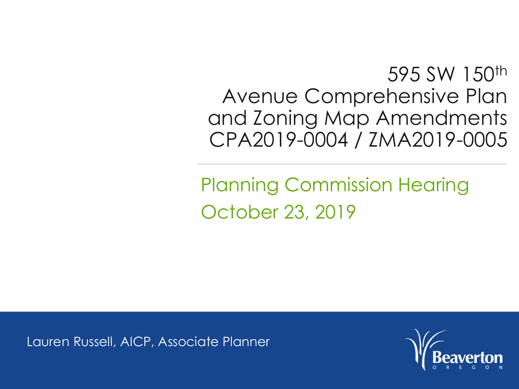595 SW 150<sup>th</sup> Avenue Comprehensive Plan and Zoning Map Amendments CPA2019-0004 / ZMA2019-0005

Planning Commission Hearing October 23, 2019

Lauren Russell, AICP, Associate Planner

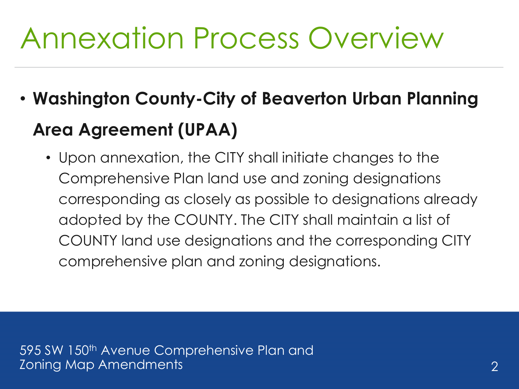## Annexation Process Overview

- **Washington County-City of Beaverton Urban Planning Area Agreement (UPAA)**
	- Upon annexation, the CITY shall initiate changes to the Comprehensive Plan land use and zoning designations corresponding as closely as possible to designations already adopted by the COUNTY. The CITY shall maintain a list of COUNTY land use designations and the corresponding CITY comprehensive plan and zoning designations.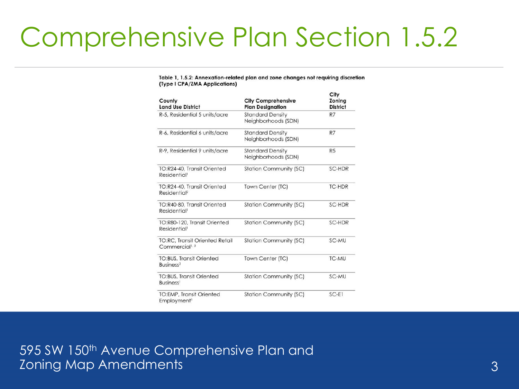## Comprehensive Plan Section 1.5.2

### Table 1, 1.5.2: Annexation-related plan and zone changes not requiring discretion (Type I CPA/ZMA Applications)

| County<br><b>Land Use District</b>                                  | <b>City Comprehensive</b><br><b>Plan Designation</b> | City<br>Zoning<br><b>District</b> |
|---------------------------------------------------------------------|------------------------------------------------------|-----------------------------------|
| R-5, Residential 5 units/acre                                       | <b>Standard Density</b><br>Neighborhoods (SDN)       | R7                                |
| R-6, Residential 6 units/acre                                       | <b>Standard Density</b><br>Neighborhoods (SDN)       | R7                                |
| R-9, Residential 9 units/acre                                       | <b>Standard Density</b><br>Neighborhoods (SDN)       | R <sub>5</sub>                    |
| TO:R24-40, Transit Oriented<br>Residential <sup>1</sup>             | <b>Station Community (SC)</b>                        | SC-HDR                            |
| TO:R24-40, Transit Oriented<br>Residential <sup>2</sup>             | Town Center (TC)                                     | <b>TC-HDR</b>                     |
| TO:R40-80, Transit Oriented<br><b>Residential</b>                   | <b>Station Community (SC)</b>                        | SC-HDR                            |
| TO:R80-120, Transit Oriented<br>Residential <sup>1</sup>            | <b>Station Community (SC)</b>                        | SC-HDR                            |
| <b>TO:RC, Transit Oriented Retail</b><br>Commercial <sup>1, 3</sup> | <b>Station Community (SC)</b>                        | SC-MU                             |
| <b>TO:BUS, Transit Oriented</b><br>Business <sup>2</sup>            | Town Center (TC)                                     | TC-MU                             |
| <b>TO:BUS, Transit Oriented</b><br>Business <sup>1</sup>            | <b>Station Community (SC)</b>                        | SC-MU                             |
| <b>TO:EMP, Transit Oriented</b><br>Employment <sup>1</sup>          | <b>Station Community (SC)</b>                        | $SC-E1$                           |

595 SW 150<sup>th</sup> Avenue Comprehensive Plan and zoning Map Amendments 33 and 33 and 33 and 34 and 35 and 35 and 35 and 35 and 35 and 35 and 35 and 35 and 35 and 35 and 35 and 35 and 35 and 35 and 35 and 35 and 35 and 35 and 35 and 35 and 35 and 35 and 35 and 35 and 35 a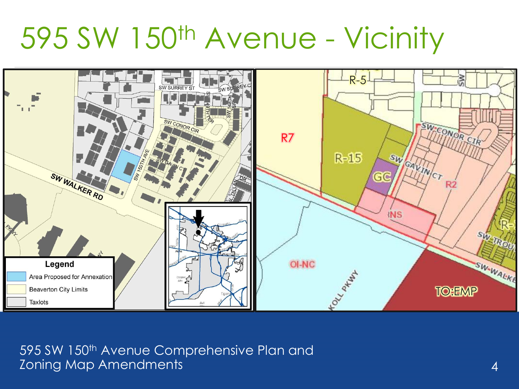595 SW 150th Avenue - Vicinity

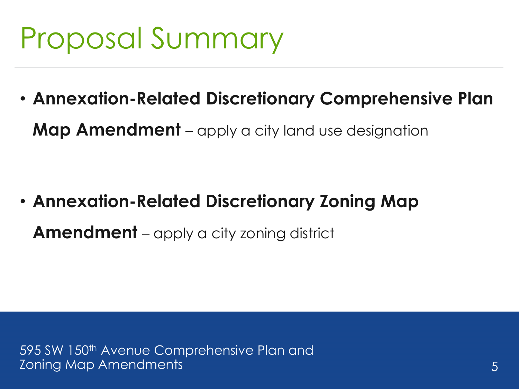# Proposal Summary

• **Annexation-Related Discretionary Comprehensive Plan Map Amendment** – apply a city land use designation

• **Annexation-Related Discretionary Zoning Map Amendment** – apply a city zoning district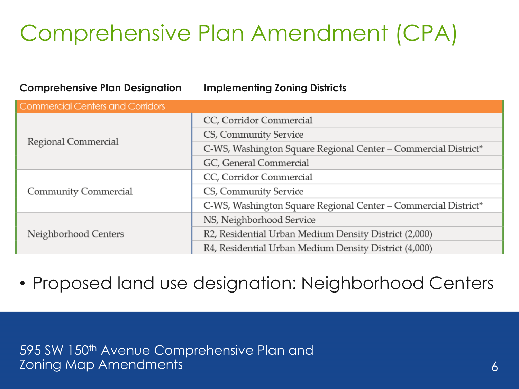### Comprehensive Plan Amendment (CPA)

| <b>Comprehensive Plan Designation</b>   | <b>Implementing Zoning Districts</b>                           |  |
|-----------------------------------------|----------------------------------------------------------------|--|
| <b>Commercial Centers and Corridors</b> |                                                                |  |
| Regional Commercial                     | CC, Corridor Commercial                                        |  |
|                                         | CS, Community Service                                          |  |
|                                         | C-WS, Washington Square Regional Center - Commercial District* |  |
|                                         | GC, General Commercial                                         |  |
| Community Commercial                    | CC, Corridor Commercial                                        |  |
|                                         | CS, Community Service                                          |  |
|                                         | C-WS, Washington Square Regional Center - Commercial District* |  |
| Neighborhood Centers                    | NS, Neighborhood Service                                       |  |
|                                         | R2, Residential Urban Medium Density District (2,000)          |  |
|                                         | R4, Residential Urban Medium Density District (4,000)          |  |

• Proposed land use designation: Neighborhood Centers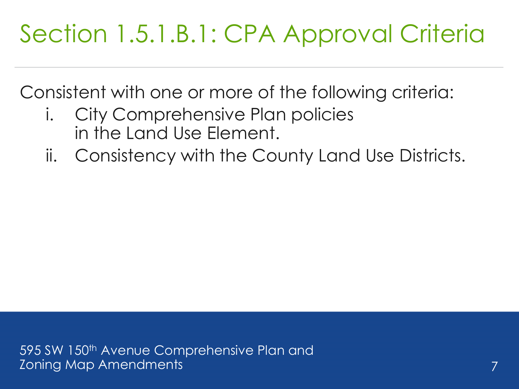## Section 1.5.1.B.1: CPA Approval Criteria

Consistent with one or more of the following criteria:

- i. City Comprehensive Plan policies in the Land Use Element.
- ii. Consistency with the County Land Use Districts.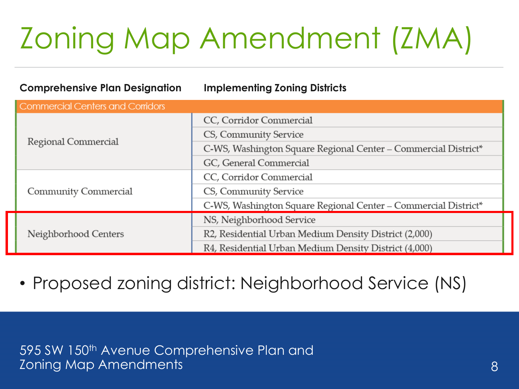# Zoning Map Amendment (ZMA)

| <b>Comprehensive Plan Designation</b> | <b>Implementing Zoning Districts</b>                           |
|---------------------------------------|----------------------------------------------------------------|
| Commercial Centers and Corridors      |                                                                |
| Regional Commercial                   | CC, Corridor Commercial                                        |
|                                       | CS, Community Service                                          |
|                                       | C-WS, Washington Square Regional Center - Commercial District* |
|                                       | GC, General Commercial                                         |
| Community Commercial                  | CC, Corridor Commercial                                        |
|                                       | CS, Community Service                                          |
|                                       | C-WS, Washington Square Regional Center - Commercial District* |
| Neighborhood Centers                  | NS, Neighborhood Service                                       |
|                                       | R2, Residential Urban Medium Density District (2,000)          |
|                                       | R4, Residential Urban Medium Density District (4,000)          |

• Proposed zoning district: Neighborhood Service (NS)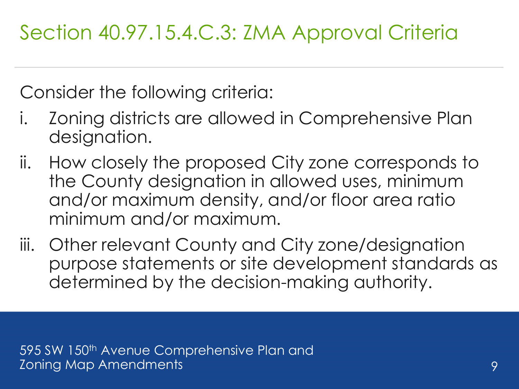Section 40.97.15.4.C.3: ZMA Approval Criteria

Consider the following criteria:

- i. Zoning districts are allowed in Comprehensive Plan designation.
- ii. How closely the proposed City zone corresponds to the County designation in allowed uses, minimum and/or maximum density, and/or floor area ratio minimum and/or maximum.
- iii. Other relevant County and City zone/designation purpose statements or site development standards as determined by the decision-making authority.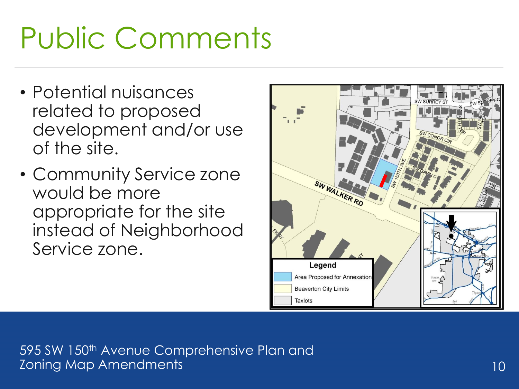# Public Comments

- Potential nuisances related to proposed development and/or use of the site.
- Community Service zone would be more appropriate for the site instead of Neighborhood Service zone.